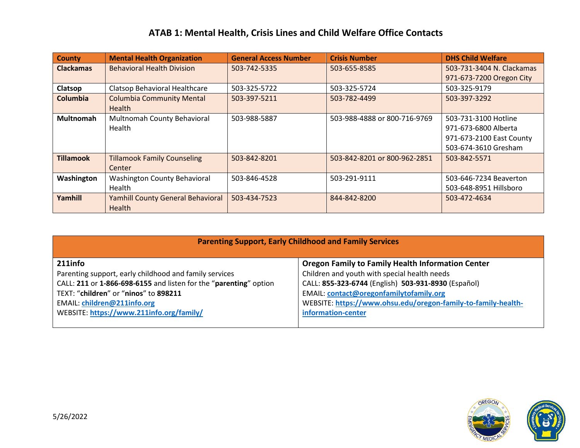## **ATAB 1: Mental Health, Crisis Lines and Child Welfare Office Contacts**

| <b>County</b>    | <b>Mental Health Organization</b>        | <b>General Access Number</b> | <b>Crisis Number</b>         | <b>DHS Child Welfare</b>  |
|------------------|------------------------------------------|------------------------------|------------------------------|---------------------------|
| <b>Clackamas</b> | <b>Behavioral Health Division</b>        | 503-742-5335                 | 503-655-8585                 | 503-731-3404 N. Clackamas |
|                  |                                          |                              |                              | 971-673-7200 Oregon City  |
| Clatsop          | Clatsop Behavioral Healthcare            | 503-325-5722                 | 503-325-5724                 | 503-325-9179              |
| Columbia         | <b>Columbia Community Mental</b>         | 503-397-5211                 | 503-782-4499                 | 503-397-3292              |
|                  | <b>Health</b>                            |                              |                              |                           |
| <b>Multnomah</b> | Multnomah County Behavioral              | 503-988-5887                 | 503-988-4888 or 800-716-9769 | 503-731-3100 Hotline      |
|                  | Health                                   |                              |                              | 971-673-6800 Alberta      |
|                  |                                          |                              |                              | 971-673-2100 East County  |
|                  |                                          |                              |                              | 503-674-3610 Gresham      |
| <b>Tillamook</b> | <b>Tillamook Family Counseling</b>       | 503-842-8201                 | 503-842-8201 or 800-962-2851 | 503-842-5571              |
|                  | Center                                   |                              |                              |                           |
| Washington       | <b>Washington County Behavioral</b>      | 503-846-4528                 | 503-291-9111                 | 503-646-7234 Beaverton    |
|                  | Health                                   |                              |                              | 503-648-8951 Hillsboro    |
| Yamhill          | <b>Yamhill County General Behavioral</b> | 503-434-7523                 | 844-842-8200                 | 503-472-4634              |
|                  | Health                                   |                              |                              |                           |

| <b>Parenting Support, Early Childhood and Family Services</b>     |                                                               |  |  |  |
|-------------------------------------------------------------------|---------------------------------------------------------------|--|--|--|
| $211$ info                                                        | <b>Oregon Family to Family Health Information Center</b>      |  |  |  |
| Parenting support, early childhood and family services            | Children and youth with special health needs                  |  |  |  |
| CALL: 211 or 1-866-698-6155 and listen for the "parenting" option | CALL: 855-323-6744 (English) 503-931-8930 (Español)           |  |  |  |
| TEXT: "children" or "ninos" to 898211                             | EMAIL: contact@oregonfamilytofamily.org                       |  |  |  |
| <b>EMAIL: children@211info.org</b>                                | WEBSITE: https://www.ohsu.edu/oregon-family-to-family-health- |  |  |  |
| WEBSITE: https://www.211info.org/family/                          | information-center                                            |  |  |  |
|                                                                   |                                                               |  |  |  |